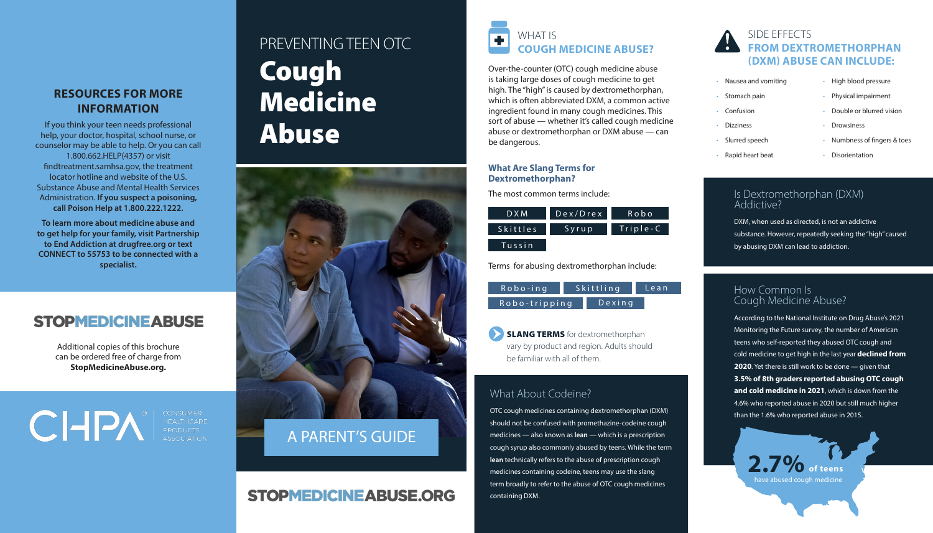## **RESOURCES FOR MORE INFORMATION**

If you think your teen needs professional help, your doctor, hospital, school nurse, or counselor may be able to help. Or you can call 1.800.662.HELP(4357) or visit findtreatment.samhsa.gov, the treatment locator hotline and website of the U.S. Substance Abuse and Mental Health Services Administration. **If you suspect a poisoning, call Poison Help at 1.800.222.1222.**

**To learn more about medicine abuse and to get help for your family, visit Partnership to End Addiction at drugfree.org or text CONNECT to 55753 to be connected with a specialist.**

# **STOPMEDICINE ABUSE**

Additional copies of this brochure can be ordered free of charge from **StopMedicineAbuse.org.** 

CIPA EQUIPMER

# PREVENTING TEEN OTC Cough Medicine Abuse



# A PARENT'S GUIDE

# **STOPMEDICINEABUSE.ORG**



Over-the-counter (OTC) cough medicine abuse is taking large doses of cough medicine to get high. The "high" is caused by dextromethorphan, which is often abbreviated DXM, a common active ingredient found in many cough medicines. This sort of abuse — whether it's called cough medicine abuse or dextromethorphan or DXM abuse — can be dangerous.

#### **What Are Slang Terms for Dextromethorphan?**

The most common terms include:

| D X M           | Dex/Drex | Robo     |
|-----------------|----------|----------|
| <b>Skittles</b> | Syrup    | Triple-C |
| Tussin          |          |          |

Terms for abusing dextromethorphan include:

| $Robo$ -ing   | Skittling |           | Lean |
|---------------|-----------|-----------|------|
| Robo-tripping |           | $D$ exing |      |

**SLANG TERMS** for dextromethorphan vary by product and region. Adults should be familiar with all of them.

### What About Codeine?

OTC cough medicines containing dextromethorphan (DXM) should not be confused with promethazine-codeine cough medicines — also known as **lean** — which is a prescription cough syrup also commonly abused by teens. While the term **lean** technically refers to the abuse of prescription cough medicines containing codeine, teens may use the slang term broadly to refer to the abuse of OTC cough medicines containing DXM.

# SIDE EFFECTS **FROM DEXTROMETHORPHAN (DXM) ABUSE CAN INCLUDE:**

- Nausea and vomiting
- Stomach pain
- Confusion
- Dizziness
- **Drowsiness**
- Slurred speech
- Rapid heart beat **Disorientation** 
	-

• High blood pressure

• Physical impairment • Double or blurred vision

• Numbness of fingers & toes

### Is Dextromethorphan (DXM) Addictive?

DXM, when used as directed, is not an addictive substance. However, repeatedly seeking the "high" caused by abusing DXM can lead to addiction.

#### How Common Is Cough Medicine Abuse?

According to the National Institute on Drug Abuse's 2021 Monitoring the Future survey, the number of American teens who self-reported they abused OTC cough and cold medicine to get high in the last year **declined from 2020**. Yet there is still work to be done — given that **3.5% of 8th graders reported abusing OTC cough and cold medicine in 2021**, which is down from the 4.6% who reported abuse in 2020 but still much higher than the 1.6% who reported abuse in 2015.